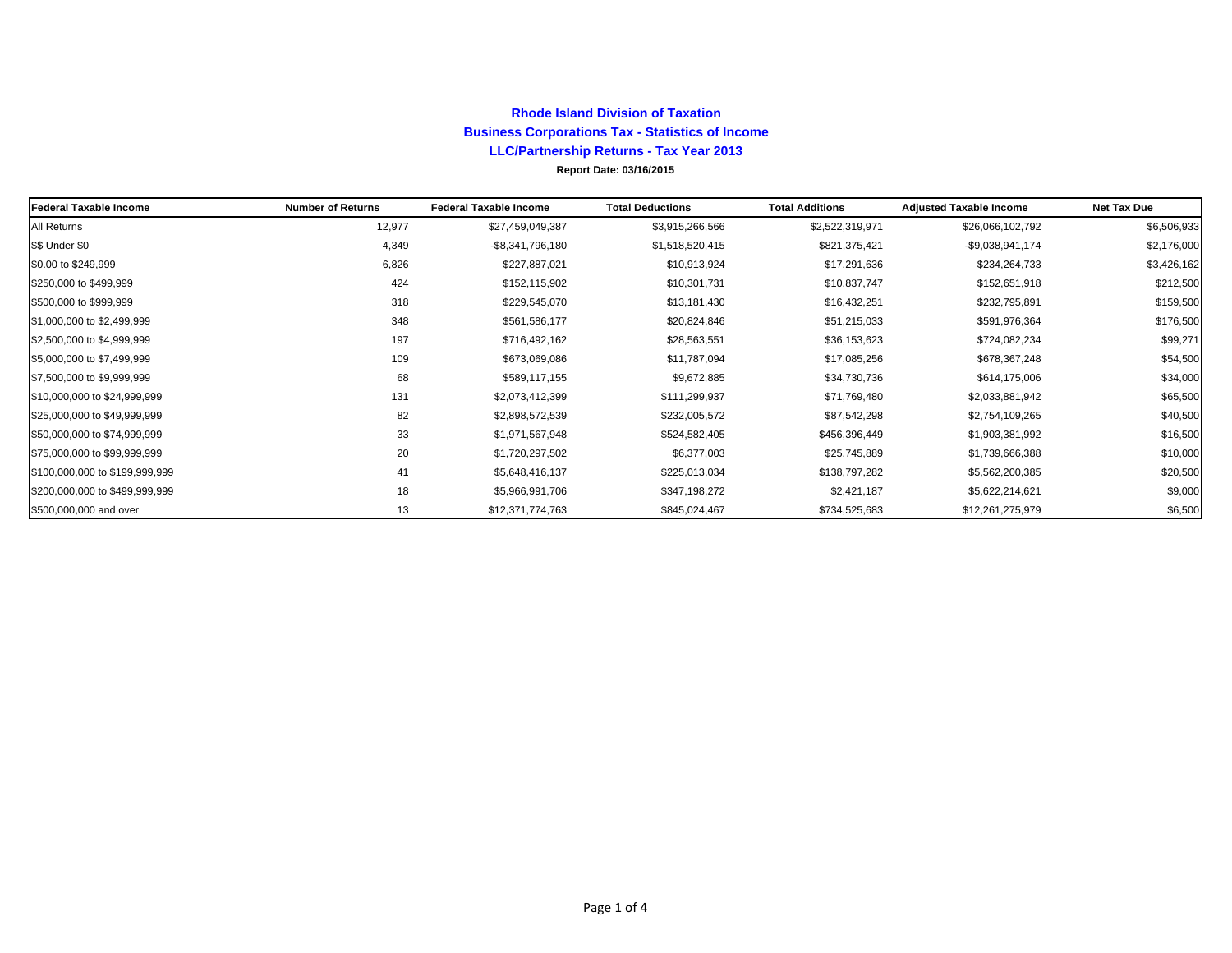### **Rhode Island Division of Taxation Business Corporations Tax - Statistics of Income LLC/Partnership Returns - Tax Year 2013**

#### **Report Date: 03/16/2015**

| <b>Federal Taxable Income</b>  | <b>Number of Returns</b> | <b>Federal Taxable Income</b> | <b>Total Deductions</b> | <b>Total Additions</b> | <b>Adjusted Taxable Income</b> | <b>Net Tax Due</b> |
|--------------------------------|--------------------------|-------------------------------|-------------------------|------------------------|--------------------------------|--------------------|
| All Returns                    | 12,977                   | \$27,459,049,387              | \$3,915,266,566         | \$2,522,319,971        | \$26,066,102,792               | \$6,506,933        |
| \$\$ Under \$0                 | 4,349                    | -\$8,341,796,180              | \$1,518,520,415         | \$821,375,421          | $-$9,038,941,174$              | \$2,176,000        |
| \$0.00 to \$249,999            | 6,826                    | \$227,887,021                 | \$10,913,924            | \$17,291,636           | \$234,264,733                  | \$3,426,162        |
| \$250,000 to \$499,999         | 424                      | \$152,115,902                 | \$10,301,731            | \$10,837,747           | \$152,651,918                  | \$212,500          |
| \$500,000 to \$999,999         | 318                      | \$229,545,070                 | \$13,181,430            | \$16,432,251           | \$232,795,891                  | \$159,500          |
| \$1,000,000 to \$2,499,999     | 348                      | \$561,586,177                 | \$20,824,846            | \$51,215,033           | \$591,976,364                  | \$176,500          |
| \$2,500,000 to \$4,999,999     | 197                      | \$716,492,162                 | \$28,563,551            | \$36,153,623           | \$724,082,234                  | \$99,271           |
| \$5,000,000 to \$7,499,999     | 109                      | \$673,069,086                 | \$11,787,094            | \$17,085,256           | \$678,367,248                  | \$54,500           |
| \$7,500,000 to \$9,999,999     | 68                       | \$589,117,155                 | \$9,672,885             | \$34,730,736           | \$614,175,006                  | \$34,000           |
| \$10,000,000 to \$24,999,999   | 131                      | \$2,073,412,399               | \$111,299,937           | \$71,769,480           | \$2,033,881,942                | \$65,500           |
| \$25,000,000 to \$49,999,999   | 82                       | \$2,898,572,539               | \$232,005,572           | \$87,542,298           | \$2,754,109,265                | \$40,500           |
| \$50,000,000 to \$74,999,999   | 33                       | \$1,971,567,948               | \$524,582,405           | \$456,396,449          | \$1,903,381,992                | \$16,500           |
| \$75,000,000 to \$99,999,999   | 20                       | \$1,720,297,502               | \$6,377,003             | \$25,745,889           | \$1,739,666,388                | \$10,000           |
| \$100,000,000 to \$199,999,999 | 41                       | \$5,648,416,137               | \$225,013,034           | \$138,797,282          | \$5,562,200,385                | \$20,500           |
| \$200,000,000 to \$499,999,999 | 18                       | \$5,966,991,706               | \$347,198,272           | \$2,421,187            | \$5,622,214,621                | \$9,000            |
| \$500,000,000 and over         | 13                       | \$12,371,774,763              | \$845,024,467           | \$734,525,683          | \$12,261,275,979               | \$6,500            |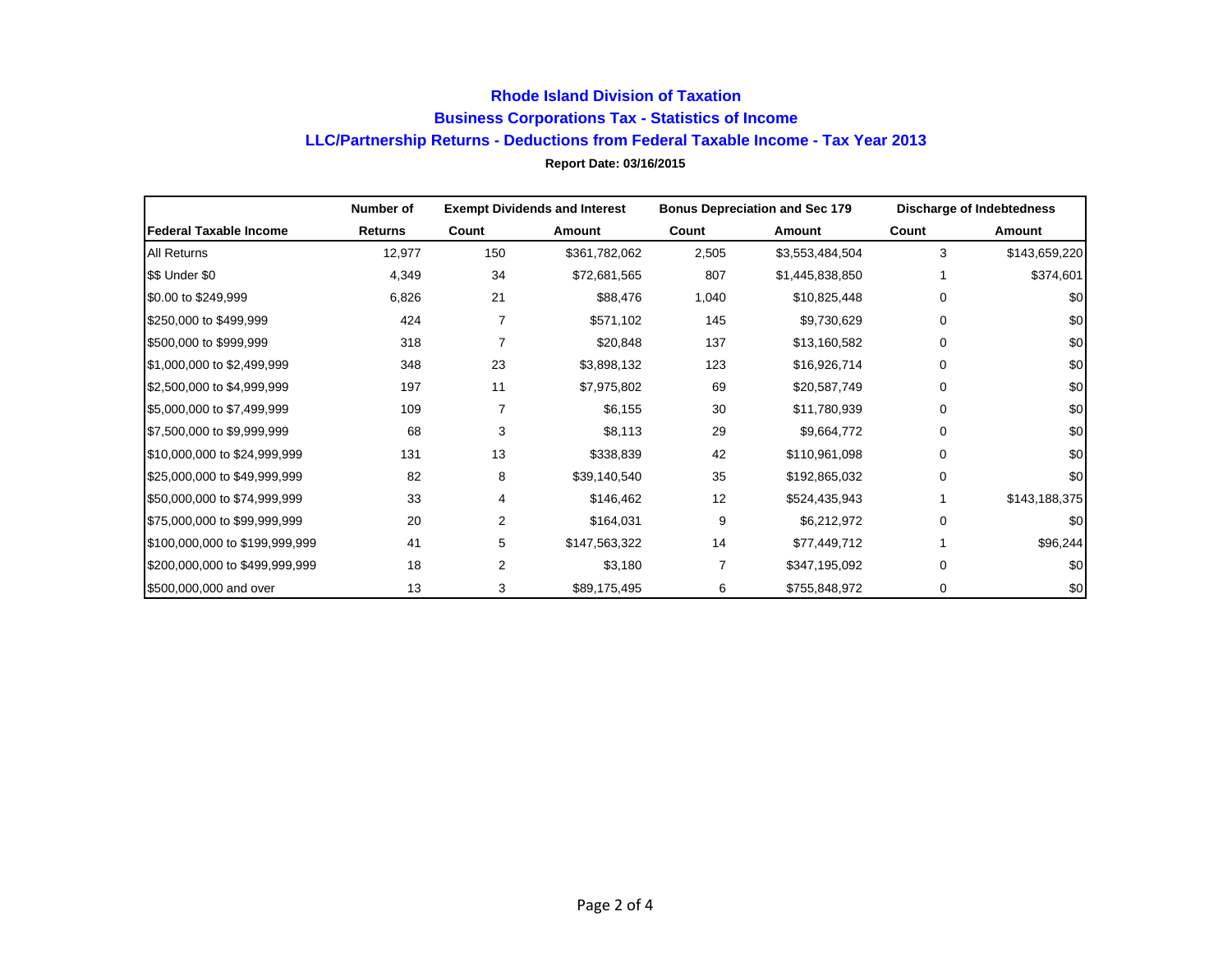# **Report Date: 03/16/2015 Rhode Island Division of Taxation Business Corporations Tax - Statistics of Income LLC/Partnership Returns - Deductions from Federal Taxable Income - Tax Year 2013**

|                                | Number of |                | <b>Exempt Dividends and Interest</b> |       | <b>Bonus Depreciation and Sec 179</b> |          | Discharge of Indebtedness |
|--------------------------------|-----------|----------------|--------------------------------------|-------|---------------------------------------|----------|---------------------------|
| <b>Federal Taxable Income</b>  | Returns   | Count          | Amount                               | Count | Amount                                | Count    | Amount                    |
| <b>All Returns</b>             | 12,977    | 150            | \$361,782,062                        | 2,505 | \$3,553,484,504                       | 3        | \$143,659,220             |
| \$\$ Under \$0                 | 4,349     | 34             | \$72,681,565                         | 807   | \$1,445,838,850                       |          | \$374,601                 |
| \$0.00 to \$249,999            | 6,826     | 21             | \$88,476                             | 1,040 | \$10,825,448                          | 0        | \$0                       |
| \$250,000 to \$499,999         | 424       | 7              | \$571,102                            | 145   | \$9,730,629                           | 0        | \$0                       |
| \$500,000 to \$999,999         | 318       | $\overline{7}$ | \$20,848                             | 137   | \$13,160,582                          | 0        | \$0                       |
| \$1,000,000 to \$2,499,999     | 348       | 23             | \$3,898,132                          | 123   | \$16,926,714                          | 0        | \$0                       |
| \$2,500,000 to \$4,999,999     | 197       | 11             | \$7,975,802                          | 69    | \$20,587,749                          | 0        | \$0                       |
| \$5,000,000 to \$7,499,999     | 109       | 7              | \$6,155                              | 30    | \$11,780,939                          | 0        | \$0                       |
| \$7,500,000 to \$9,999,999     | 68        | 3              | \$8,113                              | 29    | \$9,664,772                           | 0        | \$0                       |
| \$10,000,000 to \$24,999,999   | 131       | 13             | \$338,839                            | 42    | \$110,961,098                         | 0        | \$0                       |
| \$25,000,000 to \$49,999,999   | 82        | 8              | \$39,140,540                         | 35    | \$192,865,032                         | 0        | \$0                       |
| \$50,000,000 to \$74,999,999   | 33        | 4              | \$146,462                            | 12    | \$524,435,943                         |          | \$143,188,375             |
| \$75,000,000 to \$99,999,999   | 20        | 2              | \$164,031                            | 9     | \$6,212,972                           | 0        | \$0                       |
| \$100,000,000 to \$199,999,999 | 41        | 5              | \$147,563,322                        | 14    | \$77,449,712                          |          | \$96,244                  |
| \$200,000,000 to \$499,999,999 | 18        | 2              | \$3,180                              |       | \$347,195,092                         | $\Omega$ | \$0                       |
| \$500,000,000 and over         | 13        | 3              | \$89,175,495                         | 6     | \$755,848,972                         | 0        | \$0                       |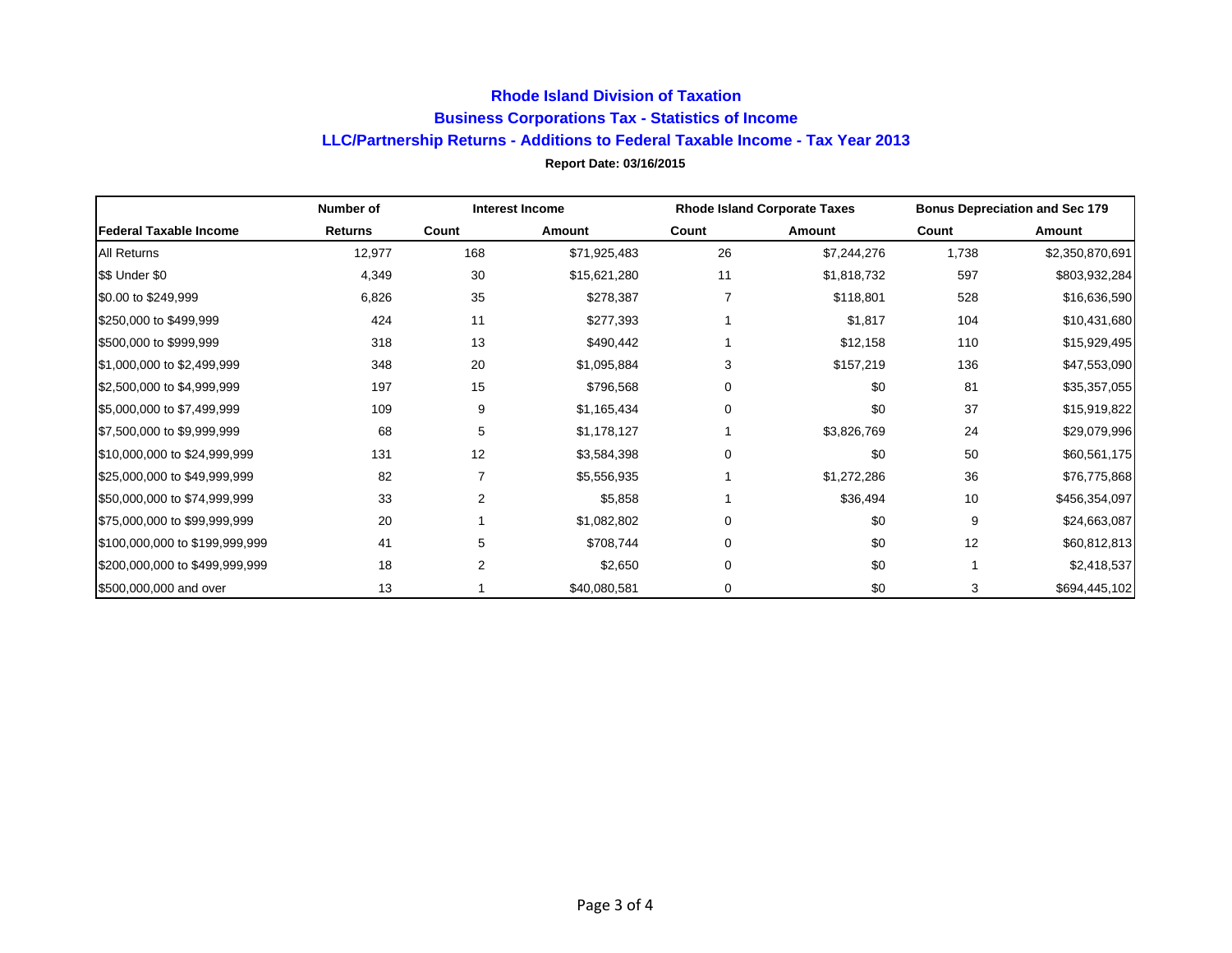# **Report Date: 03/16/2015 Rhode Island Division of Taxation Business Corporations Tax - Statistics of Income LLC/Partnership Returns - Additions to Federal Taxable Income - Tax Year 2013**

|                                | Number of      | <b>Interest Income</b> |              | <b>Rhode Island Corporate Taxes</b> |             | <b>Bonus Depreciation and Sec 179</b> |                 |
|--------------------------------|----------------|------------------------|--------------|-------------------------------------|-------------|---------------------------------------|-----------------|
| Federal Taxable Income         | <b>Returns</b> | Count                  | Amount       | Count                               | Amount      | Count                                 | Amount          |
| <b>All Returns</b>             | 12,977         | 168                    | \$71,925,483 | 26                                  | \$7,244,276 | 1,738                                 | \$2,350,870,691 |
| \$\$ Under \$0                 | 4,349          | 30                     | \$15,621,280 | 11                                  | \$1,818,732 | 597                                   | \$803,932,284   |
| \$0.00 to \$249,999            | 6,826          | 35                     | \$278,387    |                                     | \$118,801   | 528                                   | \$16,636,590    |
| \$250,000 to \$499,999         | 424            | 11                     | \$277,393    |                                     | \$1,817     | 104                                   | \$10,431,680    |
| \$500,000 to \$999,999         | 318            | 13                     | \$490,442    |                                     | \$12,158    | 110                                   | \$15,929,495    |
| \$1,000,000 to \$2,499,999     | 348            | 20                     | \$1,095,884  | 3                                   | \$157,219   | 136                                   | \$47,553,090    |
| \$2,500,000 to \$4,999,999     | 197            | 15                     | \$796,568    | 0                                   | \$0         | 81                                    | \$35,357,055    |
| \$5,000,000 to \$7,499,999     | 109            | 9                      | \$1,165,434  | 0                                   | \$0         | 37                                    | \$15,919,822    |
| \$7,500,000 to \$9,999,999     | 68             | 5                      | \$1,178,127  |                                     | \$3,826,769 | 24                                    | \$29,079,996    |
| \$10,000,000 to \$24,999,999   | 131            | 12                     | \$3,584,398  | 0                                   | \$0         | 50                                    | \$60,561,175    |
| \$25,000,000 to \$49,999,999   | 82             |                        | \$5,556,935  |                                     | \$1,272,286 | 36                                    | \$76,775,868    |
| \$50,000,000 to \$74,999,999   | 33             | $\overline{2}$         | \$5,858      |                                     | \$36,494    | 10                                    | \$456,354,097   |
| \$75,000,000 to \$99,999,999   | 20             |                        | \$1,082,802  | 0                                   | \$0         | 9                                     | \$24,663,087    |
| \$100,000,000 to \$199,999,999 | 41             | 5                      | \$708,744    | 0                                   | \$0         | 12                                    | \$60,812,813    |
| \$200,000,000 to \$499,999,999 | 18             | $\overline{2}$         | \$2,650      | $\Omega$                            | \$0         |                                       | \$2,418,537     |
| \$500,000,000 and over         | 13             |                        | \$40,080,581 | 0                                   | \$0         | 3                                     | \$694,445,102   |